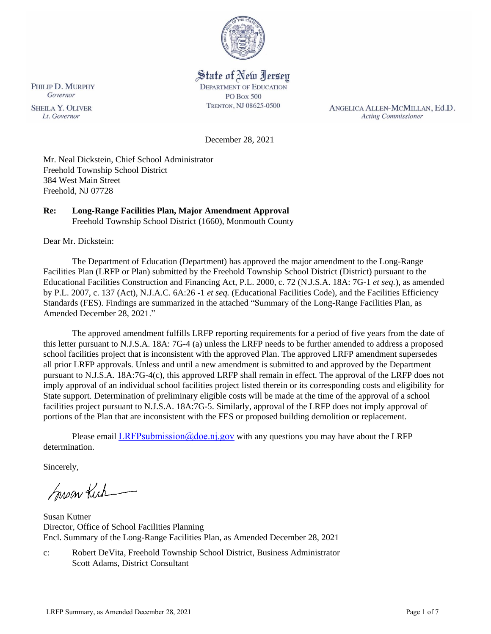

# State of New Jersey

**DEPARTMENT OF EDUCATION PO Box 500** TRENTON, NJ 08625-0500

ANGELICA ALLEN-MCMILLAN, Ed.D. **Acting Commissioner** 

December 28, 2021

Mr. Neal Dickstein, Chief School Administrator Freehold Township School District 384 West Main Street Freehold, NJ 07728

# **Re: Long-Range Facilities Plan, Major Amendment Approval**

Freehold Township School District (1660), Monmouth County

Dear Mr. Dickstein:

The Department of Education (Department) has approved the major amendment to the Long-Range Facilities Plan (LRFP or Plan) submitted by the Freehold Township School District (District) pursuant to the Educational Facilities Construction and Financing Act, P.L. 2000, c. 72 (N.J.S.A. 18A: 7G-1 *et seq.*), as amended by P.L. 2007, c. 137 (Act), N.J.A.C. 6A:26 -1 *et seq.* (Educational Facilities Code), and the Facilities Efficiency Standards (FES). Findings are summarized in the attached "Summary of the Long-Range Facilities Plan, as Amended December 28, 2021."

The approved amendment fulfills LRFP reporting requirements for a period of five years from the date of this letter pursuant to N.J.S.A. 18A: 7G-4 (a) unless the LRFP needs to be further amended to address a proposed school facilities project that is inconsistent with the approved Plan. The approved LRFP amendment supersedes all prior LRFP approvals. Unless and until a new amendment is submitted to and approved by the Department pursuant to N.J.S.A. 18A:7G-4(c), this approved LRFP shall remain in effect. The approval of the LRFP does not imply approval of an individual school facilities project listed therein or its corresponding costs and eligibility for State support. Determination of preliminary eligible costs will be made at the time of the approval of a school facilities project pursuant to N.J.S.A. 18A:7G-5. Similarly, approval of the LRFP does not imply approval of portions of the Plan that are inconsistent with the FES or proposed building demolition or replacement.

Please email LRFPsubmission  $@doen$  i.gov with any questions you may have about the LRFP determination.

Sincerely,

Susan Kich

Susan Kutner Director, Office of School Facilities Planning Encl. Summary of the Long-Range Facilities Plan, as Amended December 28, 2021

c: Robert DeVita, Freehold Township School District, Business Administrator Scott Adams, District Consultant

**SHEILA Y. OLIVER** 

Lt. Governor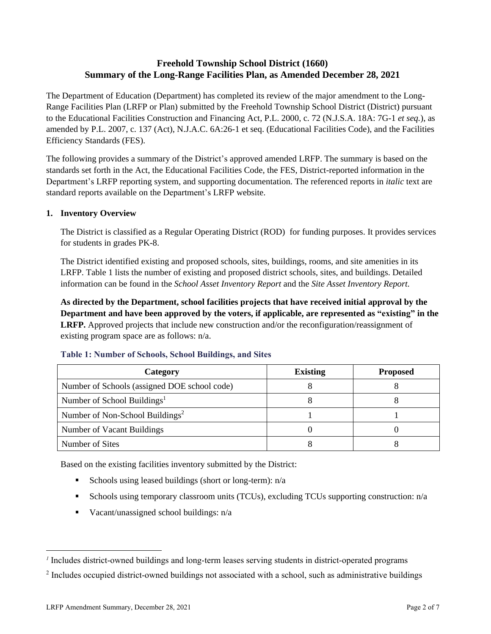# **Freehold Township School District (1660) Summary of the Long-Range Facilities Plan, as Amended December 28, 2021**

The Department of Education (Department) has completed its review of the major amendment to the Long-Range Facilities Plan (LRFP or Plan) submitted by the Freehold Township School District (District) pursuant to the Educational Facilities Construction and Financing Act, P.L. 2000, c. 72 (N.J.S.A. 18A: 7G-1 *et seq.*), as amended by P.L. 2007, c. 137 (Act), N.J.A.C. 6A:26-1 et seq. (Educational Facilities Code), and the Facilities Efficiency Standards (FES).

The following provides a summary of the District's approved amended LRFP. The summary is based on the standards set forth in the Act, the Educational Facilities Code, the FES, District-reported information in the Department's LRFP reporting system, and supporting documentation. The referenced reports in *italic* text are standard reports available on the Department's LRFP website.

## **1. Inventory Overview**

The District is classified as a Regular Operating District (ROD) for funding purposes. It provides services for students in grades PK-8.

The District identified existing and proposed schools, sites, buildings, rooms, and site amenities in its LRFP. Table 1 lists the number of existing and proposed district schools, sites, and buildings. Detailed information can be found in the *School Asset Inventory Report* and the *Site Asset Inventory Report.*

**As directed by the Department, school facilities projects that have received initial approval by the Department and have been approved by the voters, if applicable, are represented as "existing" in the LRFP.** Approved projects that include new construction and/or the reconfiguration/reassignment of existing program space are as follows: n/a.

| Category                                     | <b>Existing</b> | <b>Proposed</b> |
|----------------------------------------------|-----------------|-----------------|
| Number of Schools (assigned DOE school code) |                 |                 |
| Number of School Buildings <sup>1</sup>      |                 |                 |
| Number of Non-School Buildings <sup>2</sup>  |                 |                 |
| Number of Vacant Buildings                   |                 |                 |
| Number of Sites                              |                 |                 |

#### **Table 1: Number of Schools, School Buildings, and Sites**

Based on the existing facilities inventory submitted by the District:

- **•** Schools using leased buildings (short or long-term):  $n/a$
- Schools using temporary classroom units (TCUs), excluding TCUs supporting construction: n/a
- $\blacksquare$  Vacant/unassigned school buildings:  $n/a$

*<sup>1</sup>* Includes district-owned buildings and long-term leases serving students in district-operated programs

 $2$  Includes occupied district-owned buildings not associated with a school, such as administrative buildings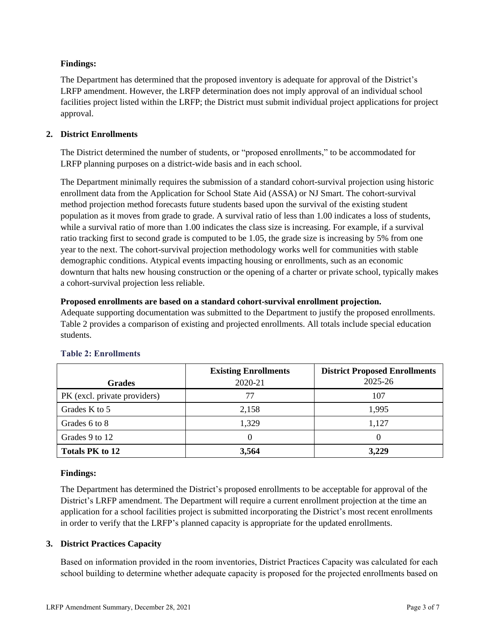## **Findings:**

The Department has determined that the proposed inventory is adequate for approval of the District's LRFP amendment. However, the LRFP determination does not imply approval of an individual school facilities project listed within the LRFP; the District must submit individual project applications for project approval.

# **2. District Enrollments**

The District determined the number of students, or "proposed enrollments," to be accommodated for LRFP planning purposes on a district-wide basis and in each school.

The Department minimally requires the submission of a standard cohort-survival projection using historic enrollment data from the Application for School State Aid (ASSA) or NJ Smart. The cohort-survival method projection method forecasts future students based upon the survival of the existing student population as it moves from grade to grade. A survival ratio of less than 1.00 indicates a loss of students, while a survival ratio of more than 1.00 indicates the class size is increasing. For example, if a survival ratio tracking first to second grade is computed to be 1.05, the grade size is increasing by 5% from one year to the next. The cohort-survival projection methodology works well for communities with stable demographic conditions. Atypical events impacting housing or enrollments, such as an economic downturn that halts new housing construction or the opening of a charter or private school, typically makes a cohort-survival projection less reliable.

## **Proposed enrollments are based on a standard cohort-survival enrollment projection.**

Adequate supporting documentation was submitted to the Department to justify the proposed enrollments. Table 2 provides a comparison of existing and projected enrollments. All totals include special education students.

|                              | <b>Existing Enrollments</b> | <b>District Proposed Enrollments</b> |
|------------------------------|-----------------------------|--------------------------------------|
| <b>Grades</b>                | 2020-21                     | 2025-26                              |
| PK (excl. private providers) | 77                          | 107                                  |
| Grades K to 5                | 2,158                       | 1.995                                |
| Grades 6 to 8                | 1,329                       | 1,127                                |
| Grades 9 to 12               |                             | 0                                    |
| <b>Totals PK to 12</b>       | 3,564                       | 3,229                                |

# **Table 2: Enrollments**

## **Findings:**

The Department has determined the District's proposed enrollments to be acceptable for approval of the District's LRFP amendment. The Department will require a current enrollment projection at the time an application for a school facilities project is submitted incorporating the District's most recent enrollments in order to verify that the LRFP's planned capacity is appropriate for the updated enrollments.

## **3. District Practices Capacity**

Based on information provided in the room inventories, District Practices Capacity was calculated for each school building to determine whether adequate capacity is proposed for the projected enrollments based on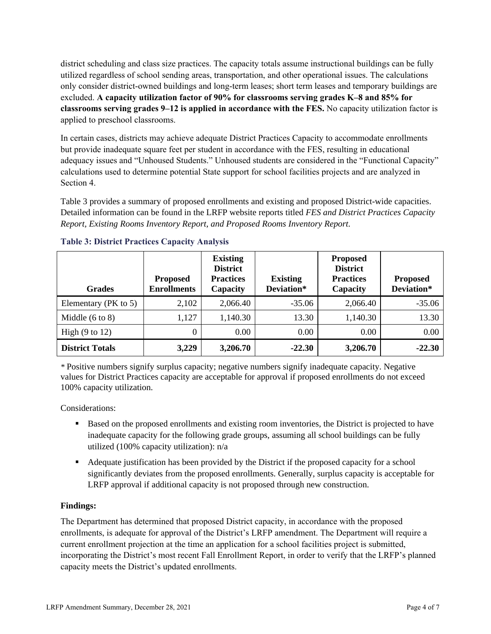district scheduling and class size practices. The capacity totals assume instructional buildings can be fully utilized regardless of school sending areas, transportation, and other operational issues. The calculations only consider district-owned buildings and long-term leases; short term leases and temporary buildings are excluded. **A capacity utilization factor of 90% for classrooms serving grades K–8 and 85% for classrooms serving grades 9–12 is applied in accordance with the FES.** No capacity utilization factor is applied to preschool classrooms.

In certain cases, districts may achieve adequate District Practices Capacity to accommodate enrollments but provide inadequate square feet per student in accordance with the FES, resulting in educational adequacy issues and "Unhoused Students." Unhoused students are considered in the "Functional Capacity" calculations used to determine potential State support for school facilities projects and are analyzed in Section 4.

Table 3 provides a summary of proposed enrollments and existing and proposed District-wide capacities. Detailed information can be found in the LRFP website reports titled *FES and District Practices Capacity Report, Existing Rooms Inventory Report, and Proposed Rooms Inventory Report.*

| <b>Grades</b>              | <b>Proposed</b><br><b>Enrollments</b> | <b>Existing</b><br><b>District</b><br><b>Practices</b><br>Capacity | <b>Existing</b><br>Deviation* | <b>Proposed</b><br><b>District</b><br><b>Practices</b><br>Capacity | <b>Proposed</b><br>Deviation* |
|----------------------------|---------------------------------------|--------------------------------------------------------------------|-------------------------------|--------------------------------------------------------------------|-------------------------------|
| Elementary (PK to 5)       | 2,102                                 | 2,066.40                                                           | $-35.06$                      | 2,066.40                                                           | $-35.06$                      |
| Middle $(6 \text{ to } 8)$ | 1,127                                 | 1,140.30                                                           | 13.30                         | 1,140.30                                                           | 13.30                         |
| High $(9 \text{ to } 12)$  | $\theta$                              | 0.00                                                               | 0.00                          | 0.00                                                               | 0.00                          |
| <b>District Totals</b>     | 3,229                                 | 3,206.70                                                           | $-22.30$                      | 3,206.70                                                           | $-22.30$                      |

## **Table 3: District Practices Capacity Analysis**

*\** Positive numbers signify surplus capacity; negative numbers signify inadequate capacity. Negative values for District Practices capacity are acceptable for approval if proposed enrollments do not exceed 100% capacity utilization.

Considerations:

- Based on the proposed enrollments and existing room inventories, the District is projected to have inadequate capacity for the following grade groups, assuming all school buildings can be fully utilized (100% capacity utilization): n/a
- Adequate justification has been provided by the District if the proposed capacity for a school significantly deviates from the proposed enrollments. Generally, surplus capacity is acceptable for LRFP approval if additional capacity is not proposed through new construction.

## **Findings:**

The Department has determined that proposed District capacity, in accordance with the proposed enrollments, is adequate for approval of the District's LRFP amendment. The Department will require a current enrollment projection at the time an application for a school facilities project is submitted, incorporating the District's most recent Fall Enrollment Report, in order to verify that the LRFP's planned capacity meets the District's updated enrollments.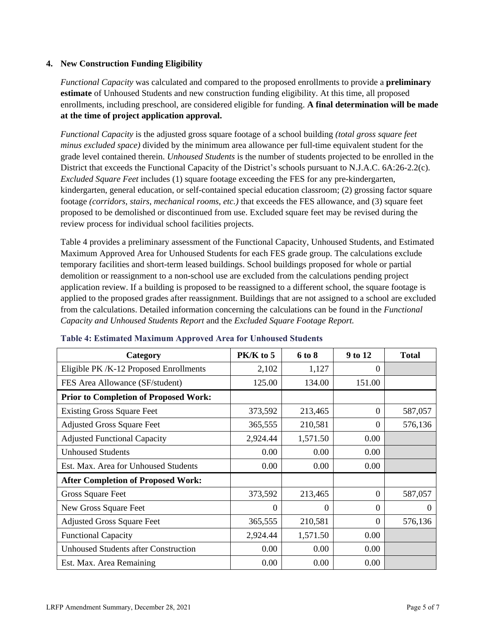#### **4. New Construction Funding Eligibility**

*Functional Capacity* was calculated and compared to the proposed enrollments to provide a **preliminary estimate** of Unhoused Students and new construction funding eligibility. At this time, all proposed enrollments, including preschool, are considered eligible for funding. **A final determination will be made at the time of project application approval.**

*Functional Capacity* is the adjusted gross square footage of a school building *(total gross square feet minus excluded space)* divided by the minimum area allowance per full-time equivalent student for the grade level contained therein. *Unhoused Students* is the number of students projected to be enrolled in the District that exceeds the Functional Capacity of the District's schools pursuant to N.J.A.C. 6A:26-2.2(c). *Excluded Square Feet* includes (1) square footage exceeding the FES for any pre-kindergarten, kindergarten, general education, or self-contained special education classroom; (2) grossing factor square footage *(corridors, stairs, mechanical rooms, etc.)* that exceeds the FES allowance, and (3) square feet proposed to be demolished or discontinued from use. Excluded square feet may be revised during the review process for individual school facilities projects.

Table 4 provides a preliminary assessment of the Functional Capacity, Unhoused Students, and Estimated Maximum Approved Area for Unhoused Students for each FES grade group. The calculations exclude temporary facilities and short-term leased buildings. School buildings proposed for whole or partial demolition or reassignment to a non-school use are excluded from the calculations pending project application review. If a building is proposed to be reassigned to a different school, the square footage is applied to the proposed grades after reassignment. Buildings that are not assigned to a school are excluded from the calculations. Detailed information concerning the calculations can be found in the *Functional Capacity and Unhoused Students Report* and the *Excluded Square Footage Report.*

| Category                                     | PK/K to 5 | 6 to 8   | 9 to 12  | <b>Total</b> |
|----------------------------------------------|-----------|----------|----------|--------------|
| Eligible PK/K-12 Proposed Enrollments        | 2,102     | 1,127    | 0        |              |
| FES Area Allowance (SF/student)              | 125.00    | 134.00   | 151.00   |              |
| <b>Prior to Completion of Proposed Work:</b> |           |          |          |              |
| <b>Existing Gross Square Feet</b>            | 373,592   | 213,465  | $\Omega$ | 587,057      |
| <b>Adjusted Gross Square Feet</b>            | 365,555   | 210,581  | $\Omega$ | 576,136      |
| <b>Adjusted Functional Capacity</b>          | 2,924.44  | 1,571.50 | 0.00     |              |
| <b>Unhoused Students</b>                     | 0.00      | 0.00     | 0.00     |              |
| Est. Max. Area for Unhoused Students         | 0.00      | 0.00     | 0.00     |              |
| <b>After Completion of Proposed Work:</b>    |           |          |          |              |
| Gross Square Feet                            | 373,592   | 213,465  | $\theta$ | 587,057      |
| New Gross Square Feet                        | $\Omega$  | $\theta$ | $\Omega$ | $\theta$     |
| <b>Adjusted Gross Square Feet</b>            | 365,555   | 210,581  | $\Omega$ | 576,136      |
| <b>Functional Capacity</b>                   | 2,924.44  | 1,571.50 | 0.00     |              |
| <b>Unhoused Students after Construction</b>  | 0.00      | 0.00     | 0.00     |              |
| Est. Max. Area Remaining                     | 0.00      | 0.00     | 0.00     |              |

#### **Table 4: Estimated Maximum Approved Area for Unhoused Students**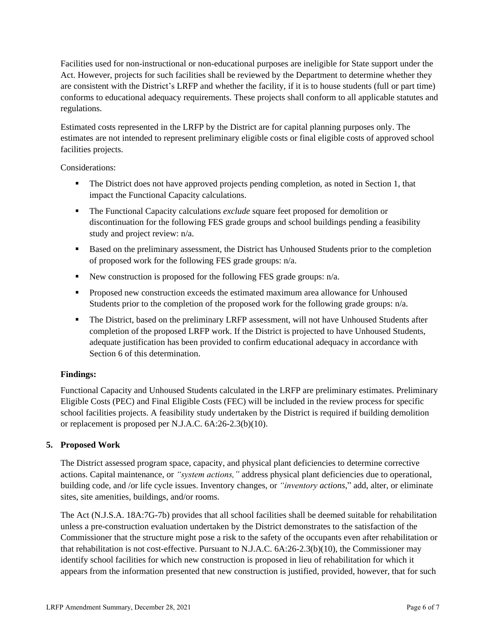Facilities used for non-instructional or non-educational purposes are ineligible for State support under the Act. However, projects for such facilities shall be reviewed by the Department to determine whether they are consistent with the District's LRFP and whether the facility, if it is to house students (full or part time) conforms to educational adequacy requirements. These projects shall conform to all applicable statutes and regulations.

Estimated costs represented in the LRFP by the District are for capital planning purposes only. The estimates are not intended to represent preliminary eligible costs or final eligible costs of approved school facilities projects.

Considerations:

- **•** The District does not have approved projects pending completion, as noted in Section 1, that impact the Functional Capacity calculations.
- The Functional Capacity calculations *exclude* square feet proposed for demolition or discontinuation for the following FES grade groups and school buildings pending a feasibility study and project review: n/a.
- Based on the preliminary assessment, the District has Unhoused Students prior to the completion of proposed work for the following FES grade groups: n/a.
- New construction is proposed for the following FES grade groups: n/a.
- Proposed new construction exceeds the estimated maximum area allowance for Unhoused Students prior to the completion of the proposed work for the following grade groups: n/a.
- **•** The District, based on the preliminary LRFP assessment, will not have Unhoused Students after completion of the proposed LRFP work. If the District is projected to have Unhoused Students, adequate justification has been provided to confirm educational adequacy in accordance with Section 6 of this determination.

## **Findings:**

Functional Capacity and Unhoused Students calculated in the LRFP are preliminary estimates. Preliminary Eligible Costs (PEC) and Final Eligible Costs (FEC) will be included in the review process for specific school facilities projects. A feasibility study undertaken by the District is required if building demolition or replacement is proposed per N.J.A.C. 6A:26-2.3(b)(10).

## **5. Proposed Work**

The District assessed program space, capacity, and physical plant deficiencies to determine corrective actions. Capital maintenance, or *"system actions,"* address physical plant deficiencies due to operational, building code, and /or life cycle issues. Inventory changes, or *"inventory actions,*" add, alter, or eliminate sites, site amenities, buildings, and/or rooms.

The Act (N.J.S.A. 18A:7G-7b) provides that all school facilities shall be deemed suitable for rehabilitation unless a pre-construction evaluation undertaken by the District demonstrates to the satisfaction of the Commissioner that the structure might pose a risk to the safety of the occupants even after rehabilitation or that rehabilitation is not cost-effective. Pursuant to N.J.A.C. 6A:26-2.3(b)(10), the Commissioner may identify school facilities for which new construction is proposed in lieu of rehabilitation for which it appears from the information presented that new construction is justified, provided, however, that for such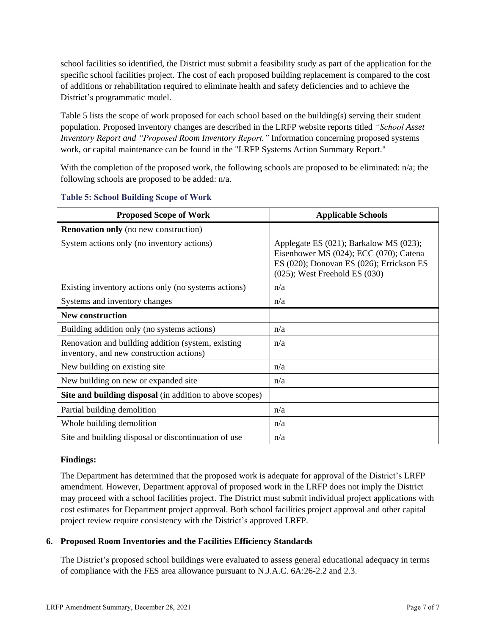school facilities so identified, the District must submit a feasibility study as part of the application for the specific school facilities project. The cost of each proposed building replacement is compared to the cost of additions or rehabilitation required to eliminate health and safety deficiencies and to achieve the District's programmatic model.

Table 5 lists the scope of work proposed for each school based on the building(s) serving their student population. Proposed inventory changes are described in the LRFP website reports titled *"School Asset Inventory Report and "Proposed Room Inventory Report."* Information concerning proposed systems work, or capital maintenance can be found in the "LRFP Systems Action Summary Report."

With the completion of the proposed work, the following schools are proposed to be eliminated: n/a; the following schools are proposed to be added: n/a.

| <b>Proposed Scope of Work</b>                                                                  | <b>Applicable Schools</b>                                                                                                                                          |
|------------------------------------------------------------------------------------------------|--------------------------------------------------------------------------------------------------------------------------------------------------------------------|
| <b>Renovation only</b> (no new construction)                                                   |                                                                                                                                                                    |
| System actions only (no inventory actions)                                                     | Applegate ES (021); Barkalow MS (023);<br>Eisenhower MS (024); ECC (070); Catena<br>ES (020); Donovan ES (026); Errickson ES<br>$(025)$ ; West Freehold ES $(030)$ |
| Existing inventory actions only (no systems actions)                                           | n/a                                                                                                                                                                |
| Systems and inventory changes                                                                  | n/a                                                                                                                                                                |
| <b>New construction</b>                                                                        |                                                                                                                                                                    |
| Building addition only (no systems actions)                                                    | n/a                                                                                                                                                                |
| Renovation and building addition (system, existing<br>inventory, and new construction actions) | n/a                                                                                                                                                                |
| New building on existing site                                                                  | n/a                                                                                                                                                                |
| New building on new or expanded site                                                           | n/a                                                                                                                                                                |
| Site and building disposal (in addition to above scopes)                                       |                                                                                                                                                                    |
| Partial building demolition                                                                    | n/a                                                                                                                                                                |
| Whole building demolition                                                                      | n/a                                                                                                                                                                |
| Site and building disposal or discontinuation of use                                           | n/a                                                                                                                                                                |

#### **Table 5: School Building Scope of Work**

#### **Findings:**

The Department has determined that the proposed work is adequate for approval of the District's LRFP amendment. However, Department approval of proposed work in the LRFP does not imply the District may proceed with a school facilities project. The District must submit individual project applications with cost estimates for Department project approval. Both school facilities project approval and other capital project review require consistency with the District's approved LRFP.

## **6. Proposed Room Inventories and the Facilities Efficiency Standards**

The District's proposed school buildings were evaluated to assess general educational adequacy in terms of compliance with the FES area allowance pursuant to N.J.A.C. 6A:26-2.2 and 2.3.